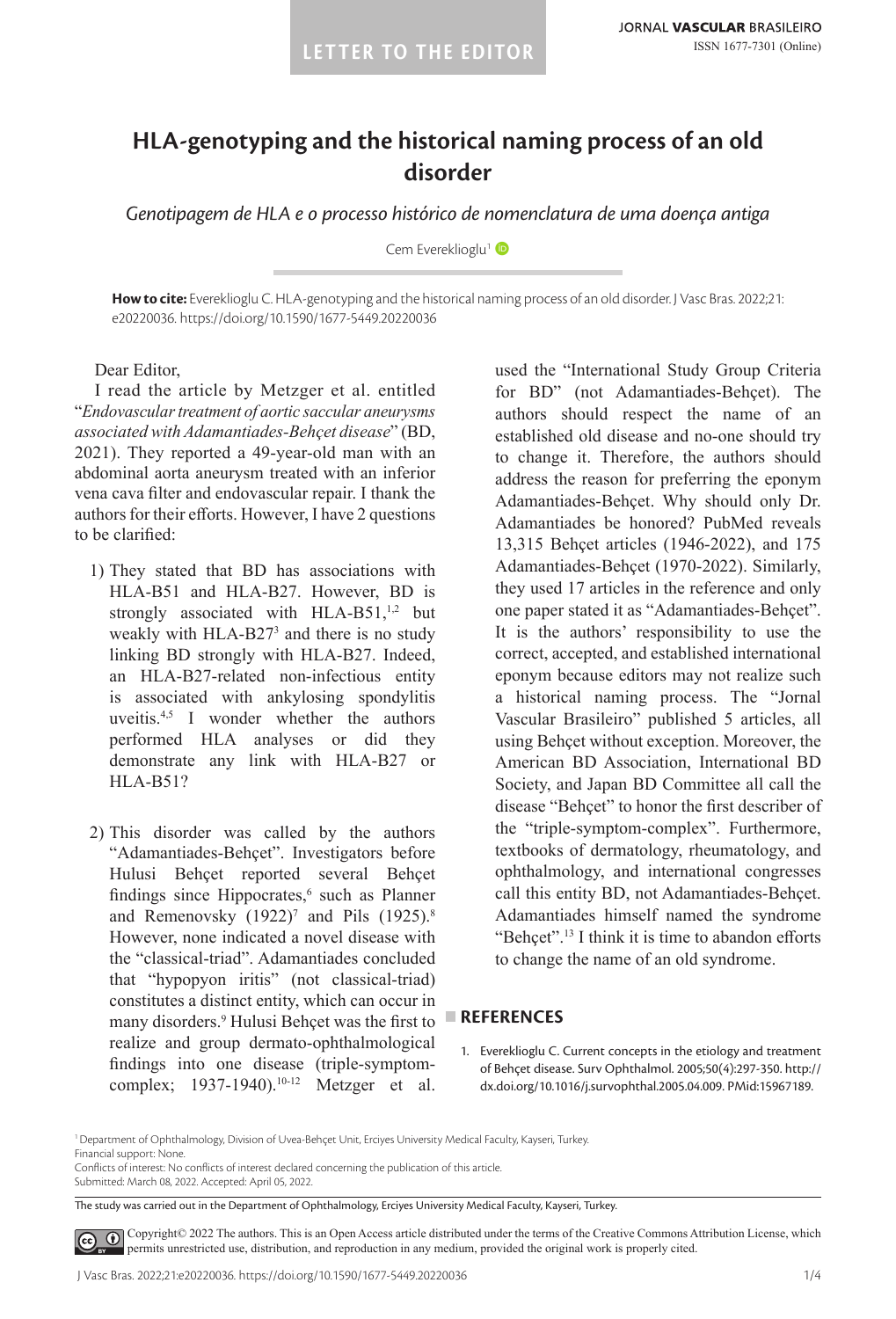# **HLA-genotyping and the historical naming process of an old disorder**

*Genotipagem de HLA e o processo histórico de nomenclatura de uma doença antiga*

Cem Evereklioglu<sup>1</sup>

**How to cite:** Evereklioglu C. HLA-genotyping and the historical naming process of an old disorder. J Vasc Bras. 2022;21: e20220036. https://doi.org/10.1590/1677-5449.20220036

Dear Editor,

I read the article by Metzger et al. entitled "*Endovascular treatment of aortic saccular aneurysms associated with Adamantiades-Behçet disease*" (BD, 2021). They reported a 49-year-old man with an abdominal aorta aneurysm treated with an inferior vena cava filter and endovascular repair. I thank the authors for their efforts. However, I have 2 questions to be clarified:

- 1) They stated that BD has associations with HLA-B51 and HLA-B27. However, BD is strongly associated with  $HLA-B51$ ,<sup>1,2</sup> but weakly with HLA-B27<sup>3</sup> and there is no study linking BD strongly with HLA-B27. Indeed, an HLA-B27-related non-infectious entity is associated with ankylosing spondylitis uveitis.4,5 I wonder whether the authors performed HLA analyses or did they demonstrate any link with HLA-B27 or HLA-B51?
- 2) This disorder was called by the authors "Adamantiades-Behçet". Investigators before Hulusi Behçet reported several Behçet findings since Hippocrates,<sup>6</sup> such as Planner and Remenovsky  $(1922)^7$  and Pils  $(1925)^8$ However, none indicated a novel disease with the "classical-triad". Adamantiades concluded that "hypopyon iritis" (not classical-triad) constitutes a distinct entity, which can occur in many disorders.9 Hulusi Behçet was the first to realize and group dermato-ophthalmological findings into one disease (triple-symptomcomplex; 1937-1940).10-12 Metzger et al.

used the "International Study Group Criteria for BD" (not Adamantiades-Behçet). The authors should respect the name of an established old disease and no-one should try to change it. Therefore, the authors should address the reason for preferring the eponym Adamantiades-Behçet. Why should only Dr. Adamantiades be honored? PubMed reveals 13,315 Behçet articles (1946-2022), and 175 Adamantiades-Behçet (1970-2022). Similarly, they used 17 articles in the reference and only one paper stated it as "Adamantiades-Behçet". It is the authors' responsibility to use the correct, accepted, and established international eponym because editors may not realize such a historical naming process. The "Jornal Vascular Brasileiro" published 5 articles, all using Behçet without exception. Moreover, the American BD Association, International BD Society, and Japan BD Committee all call the disease "Behçet" to honor the first describer of the "triple-symptom-complex". Furthermore, textbooks of dermatology, rheumatology, and ophthalmology, and international congresses call this entity BD, not Adamantiades-Behçet. Adamantiades himself named the syndrome "Behçet".<sup>13</sup> I think it is time to abandon efforts to change the name of an old syndrome.

#### **REFERENCES**

1. Evereklioglu C. Current concepts in the etiology and treatment of Behçet disease. Surv Ophthalmol. 2005;50(4):297-350. [http://](https://doi.org/10.1016/j.survophthal.2005.04.009) [dx.doi.org/10.1016/j.survophthal.2005.04.009](https://doi.org/10.1016/j.survophthal.2005.04.009). [PMid:15967189.](https://www.ncbi.nlm.nih.gov/entrez/query.fcgi?cmd=Retrieve&db=PubMed&list_uids=15967189&dopt=Abstract)

1Department of Ophthalmology, Division of Uvea-Behçet Unit, Erciyes University Medical Faculty, Kayseri, Turkey. Financial support: None.

Conflicts of interest: No conflicts of interest declared concerning the publication of this article. Submitted: March 08, 2022. Accepted: April 05, 2022.

The study was carried out in the Department of Ophthalmology, Erciyes University Medical Faculty, Kayseri, Turkey.

[C](https://creativecommons.org/licenses/by/4.0/)opyright© 2022 The authors. This is an Open Access article distributed under the terms of the Creative Commons Attribution License, which  $\odot$ permits unrestricted use, distribution, and reproduction in any medium, provided the original work is properly cited.

J Vasc Bras. 2022;21:e20220036. https://doi.org/10.1590/1677-5449.20220036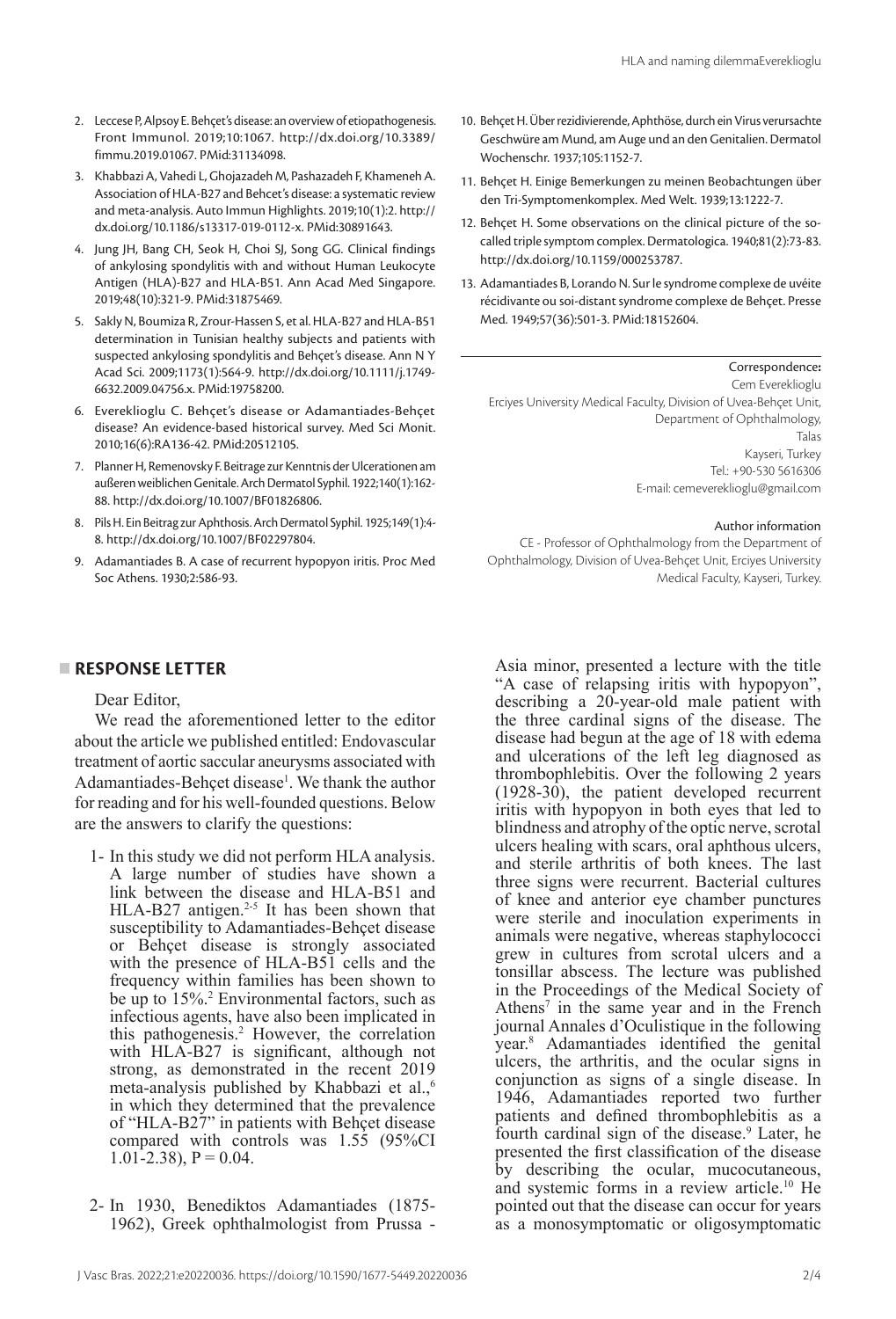- 2. Leccese P, Alpsoy E. Behçet's disease: an overview of etiopathogenesis. Front Immunol. 2019;10:1067. [http://dx.doi.org/10.3389/](https://doi.org/10.3389/fimmu.2019.01067) [fimmu.2019.01067.](https://doi.org/10.3389/fimmu.2019.01067) [PMid:31134098.](https://www.ncbi.nlm.nih.gov/entrez/query.fcgi?cmd=Retrieve&db=PubMed&list_uids=31134098&dopt=Abstract)
- 3. Khabbazi A, Vahedi L, Ghojazadeh M, Pashazadeh F, Khameneh A. Association of HLA-B27 and Behcet's disease: a systematic review and meta-analysis. Auto Immun Highlights. 2019;10(1):2. [http://](https://doi.org/10.1186/s13317-019-0112-x) [dx.doi.org/10.1186/s13317-019-0112-x.](https://doi.org/10.1186/s13317-019-0112-x) [PMid:30891643.](https://www.ncbi.nlm.nih.gov/entrez/query.fcgi?cmd=Retrieve&db=PubMed&list_uids=30891643&dopt=Abstract)
- 4. Jung JH, Bang CH, Seok H, Choi SJ, Song GG. Clinical findings of ankylosing spondylitis with and without Human Leukocyte Antigen (HLA)-B27 and HLA-B51. Ann Acad Med Singapore. 2019;48(10):321-9[. PMid:31875469.](https://www.ncbi.nlm.nih.gov/entrez/query.fcgi?cmd=Retrieve&db=PubMed&list_uids=31875469&dopt=Abstract)
- 5. Sakly N, Boumiza R, Zrour-Hassen S, et al. HLA-B27 and HLA-B51 determination in Tunisian healthy subjects and patients with suspected ankylosing spondylitis and Behçet's disease. Ann N Y Acad Sci. 2009;1173(1):564-9. [http://dx.doi.org/10.1111/j.1749-](https://doi.org/10.1111/j.1749-6632.2009.04756.x) [6632.2009.04756.x.](https://doi.org/10.1111/j.1749-6632.2009.04756.x) [PMid:19758200.](https://www.ncbi.nlm.nih.gov/entrez/query.fcgi?cmd=Retrieve&db=PubMed&list_uids=19758200&dopt=Abstract)
- 6. Evereklioglu C. Behçet's disease or Adamantiades-Behçet disease? An evidence-based historical survey. Med Sci Monit. 2010;16(6):RA136-42. [PMid:20512105.](https://www.ncbi.nlm.nih.gov/entrez/query.fcgi?cmd=Retrieve&db=PubMed&list_uids=20512105&dopt=Abstract)
- 7. Planner H, Remenovsky F. Beitrage zur Kenntnis der Ulcerationen am außeren weiblichen Genitale. Arch Dermatol Syphil. 1922;140(1):162- 88. [http://dx.doi.org/10.1007/BF01826806.](https://doi.org/10.1007/BF01826806)
- 8. Pils H. Ein Beitrag zur Aphthosis. Arch Dermatol Syphil. 1925;149(1):4- 8. [http://dx.doi.org/10.1007/BF02297804](https://doi.org/10.1007/BF02297804).
- 9. Adamantiades B. A case of recurrent hypopyon iritis. Proc Med Soc Athens. 1930;2:586-93.

## **RESPONSE LETTER**

## Dear Editor,

We read the aforementioned letter to the editor about the article we published entitled: Endovascular treatment of aortic saccular aneurysms associated with Adamantiades-Behçet disease<sup>1</sup>. We thank the author for reading and for his well-founded questions. Below are the answers to clarify the questions:

- 1- In this study we did not perform HLA analysis. A large number of studies have shown a link between the disease and HLA-B51 and HLA-B27 antigen.<sup>2-5</sup> It has been shown that susceptibility to Adamantiades-Behçet disease or Behçet disease is strongly associated with the presence of HLA-B51 cells and the frequency within families has been shown to be up to 15%.<sup>2</sup> Environmental factors, such as infectious agents, have also been implicated in this pathogenesis.2 However, the correlation with HLA-B27 is significant, although not strong, as demonstrated in the recent 2019 meta-analysis published by Khabbazi et al.,<sup>6</sup> in which they determined that the prevalence of "HLA-B27" in patients with Behçet disease compared with controls was 1.55 (95%CI 1.01-2.38),  $P = 0.04$ .
- 2- In 1930, Benediktos Adamantiades (1875- 1962), Greek ophthalmologist from Prussa -
- 10. Behçet H. Über rezidivierende, Aphthöse, durch ein Virus verursachte Geschwüre am Mund, am Auge und an den Genitalien. Dermatol Wochenschr. 1937;105:1152-7.
- 11. Behçet H. Einige Bemerkungen zu meinen Beobachtungen über den Tri-Symptomenkomplex. Med Welt. 1939;13:1222-7.
- 12. Behçet H. Some observations on the clinical picture of the socalled triple symptom complex. Dermatologica. 1940;81(2):73-83. [http://dx.doi.org/10.1159/000253787](https://doi.org/10.1159/000253787).
- 13. Adamantiades B, Lorando N. Sur le syndrome complexe de uvéite récidivante ou soi-distant syndrome complexe de Behçet. Presse Med. 1949;57(36):501-3[. PMid:18152604.](https://www.ncbi.nlm.nih.gov/entrez/query.fcgi?cmd=Retrieve&db=PubMed&list_uids=18152604&dopt=Abstract)

### Correspondence**:**

Cem Evereklioglu Erciyes University Medical Faculty, Division of Uvea-Behçet Unit, Department of Ophthalmology, Talas Kayseri, Turkey Tel.: +90-530 5616306 E-mail: cemevereklioglu@gmail.com

### Author information

CE - Professor of Ophthalmology from the Department of Ophthalmology, Division of Uvea-Behçet Unit, Erciyes University Medical Faculty, Kayseri, Turkey.

Asia minor, presented a lecture with the title "A case of relapsing iritis with hypopyon", describing a 20-year-old male patient with the three cardinal signs of the disease. The disease had begun at the age of 18 with edema and ulcerations of the left leg diagnosed as thrombophlebitis. Over the following 2 years (1928-30), the patient developed recurrent iritis with hypopyon in both eyes that led to blindness and atrophy of the optic nerve, scrotal ulcers healing with scars, oral aphthous ulcers, and sterile arthritis of both knees. The last three signs were recurrent. Bacterial cultures of knee and anterior eye chamber punctures were sterile and inoculation experiments in animals were negative, whereas staphylococci grew in cultures from scrotal ulcers and a tonsillar abscess. The lecture was published in the Proceedings of the Medical Society of Athens<sup>7</sup> in the same year and in the French journal Annales d'Oculistique in the following year.8 Adamantiades identified the genital ulcers, the arthritis, and the ocular signs in conjunction as signs of a single disease. In 1946, Adamantiades reported two further patients and defined thrombophlebitis as a fourth cardinal sign of the disease.<sup>9</sup> Later, he presented the first classification of the disease by describing the ocular, mucocutaneous, and systemic forms in a review article.10 He pointed out that the disease can occur for years as a monosymptomatic or oligosymptomatic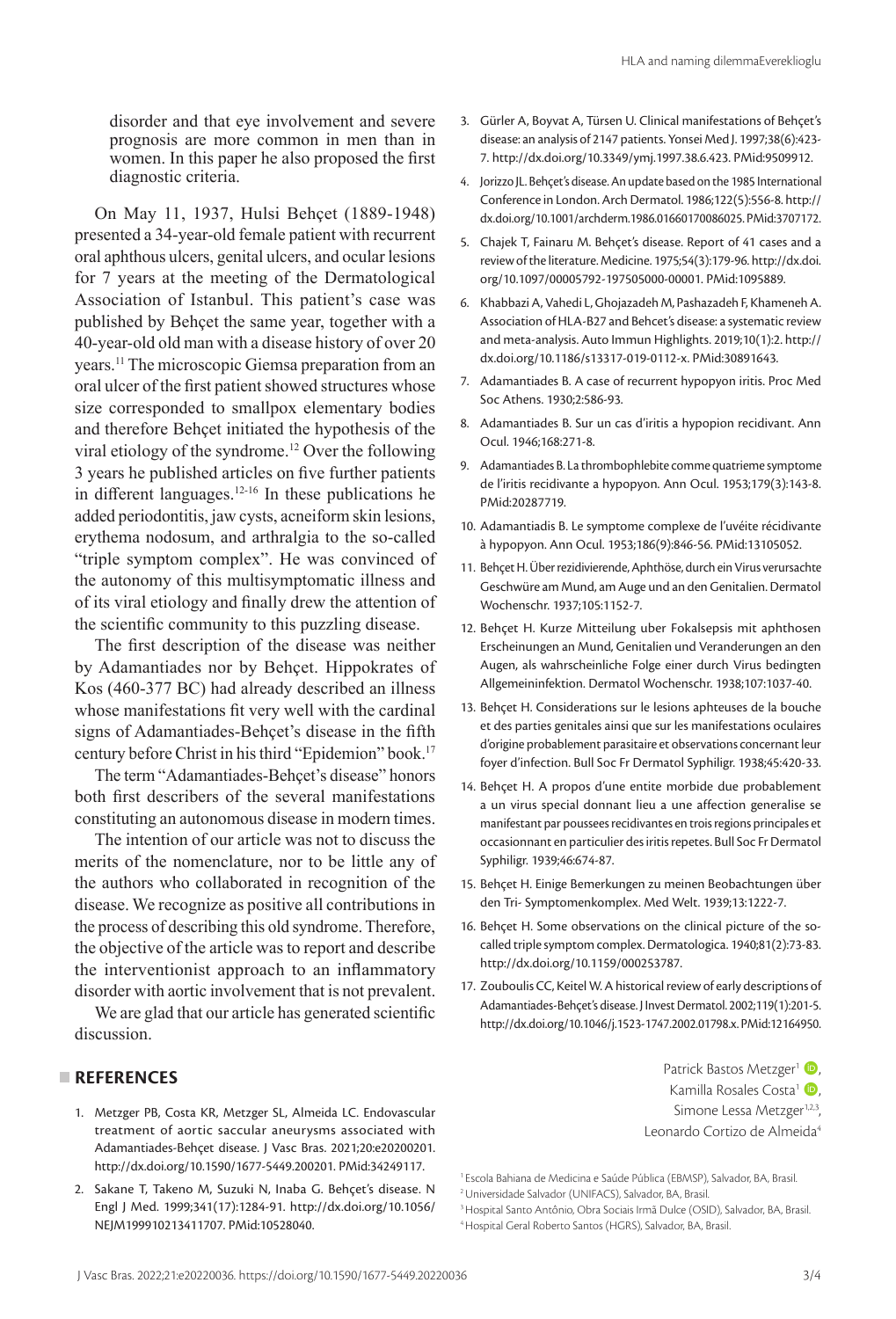disorder and that eye involvement and severe prognosis are more common in men than in women. In this paper he also proposed the first diagnostic criteria.

On May 11, 1937, Hulsi Behçet (1889-1948) presented a 34-year-old female patient with recurrent oral aphthous ulcers, genital ulcers, and ocular lesions for 7 years at the meeting of the Dermatological Association of Istanbul. This patient's case was published by Behçet the same year, together with a 40-year-old old man with a disease history of over 20 years.11 The microscopic Giemsa preparation from an oral ulcer of the first patient showed structures whose size corresponded to smallpox elementary bodies and therefore Behçet initiated the hypothesis of the viral etiology of the syndrome.12 Over the following 3 years he published articles on five further patients in different languages.12-16 In these publications he added periodontitis, jaw cysts, acneiform skin lesions, erythema nodosum, and arthralgia to the so-called "triple symptom complex". He was convinced of the autonomy of this multisymptomatic illness and of its viral etiology and finally drew the attention of the scientific community to this puzzling disease.

The first description of the disease was neither by Adamantiades nor by Behçet. Hippokrates of Kos (460-377 BC) had already described an illness whose manifestations fit very well with the cardinal signs of Adamantiades-Behcet's disease in the fifth century before Christ in his third "Epidemion" book.<sup>17</sup>

The term "Adamantiades-Behçet's disease" honors both first describers of the several manifestations constituting an autonomous disease in modern times.

The intention of our article was not to discuss the merits of the nomenclature, nor to be little any of the authors who collaborated in recognition of the disease. We recognize as positive all contributions in the process of describing this old syndrome. Therefore, the objective of the article was to report and describe the interventionist approach to an inflammatory disorder with aortic involvement that is not prevalent.

We are glad that our article has generated scientific discussion.

#### **REFERENCES**

- 1. Metzger PB, Costa KR, Metzger SL, Almeida LC. Endovascular treatment of aortic saccular aneurysms associated with Adamantiades-Behçet disease. J Vasc Bras. 2021;20:e20200201. [http://dx.doi.org/10.1590/1677-5449.200201](https://doi.org/10.1590/1677-5449.200201)[. PMid:34249117.](https://www.ncbi.nlm.nih.gov/entrez/query.fcgi?cmd=Retrieve&db=PubMed&list_uids=34249117&dopt=Abstract)
- 2. Sakane T, Takeno M, Suzuki N, Inaba G. Behçet's disease. N Engl J Med. 1999;341(17):1284-91. [http://dx.doi.org/10.1056/](https://doi.org/10.1056/NEJM199910213411707) [NEJM199910213411707](https://doi.org/10.1056/NEJM199910213411707)[. PMid:10528040.](https://www.ncbi.nlm.nih.gov/entrez/query.fcgi?cmd=Retrieve&db=PubMed&list_uids=10528040&dopt=Abstract)
- 3. Gürler A, Boyvat A, Türsen U. Clinical manifestations of Behçet's disease: an analysis of 2147 patients. Yonsei Med J. 1997;38(6):423- 7. [http://dx.doi.org/10.3349/ymj.1997.38.6.423](https://doi.org/10.3349/ymj.1997.38.6.423)[. PMid:9509912.](https://www.ncbi.nlm.nih.gov/entrez/query.fcgi?cmd=Retrieve&db=PubMed&list_uids=9509912&dopt=Abstract)
- 4. Jorizzo JL. Behçet's disease. An update based on the 1985 International Conference in London. Arch Dermatol. 1986;122(5):556-8. [http://](https://doi.org/10.1001/archderm.1986.01660170086025) [dx.doi.org/10.1001/archderm.1986.01660170086025.](https://doi.org/10.1001/archderm.1986.01660170086025) [PMid:3707172.](https://www.ncbi.nlm.nih.gov/entrez/query.fcgi?cmd=Retrieve&db=PubMed&list_uids=3707172&dopt=Abstract)
- 5. Chajek T, Fainaru M. Behçet's disease. Report of 41 cases and a review of the literature. Medicine. 1975;54(3):179-96. [http://dx.doi.](https://doi.org/10.1097/00005792-197505000-00001) [org/10.1097/00005792-197505000-00001](https://doi.org/10.1097/00005792-197505000-00001). [PMid:1095889.](https://www.ncbi.nlm.nih.gov/entrez/query.fcgi?cmd=Retrieve&db=PubMed&list_uids=1095889&dopt=Abstract)
- 6. Khabbazi A, Vahedi L, Ghojazadeh M, Pashazadeh F, Khameneh A. Association of HLA-B27 and Behcet's disease: a systematic review and meta-analysis. Auto Immun Highlights. 2019;10(1):2. [http://](https://doi.org/10.1186/s13317-019-0112-x) [dx.doi.org/10.1186/s13317-019-0112-x](https://doi.org/10.1186/s13317-019-0112-x). [PMid:30891643.](https://www.ncbi.nlm.nih.gov/entrez/query.fcgi?cmd=Retrieve&db=PubMed&list_uids=30891643&dopt=Abstract)
- 7. Adamantiades B. A case of recurrent hypopyon iritis. Proc Med Soc Athens. 1930;2:586-93.
- 8. Adamantiades B. Sur un cas d'iritis a hypopion recidivant. Ann Ocul. 1946;168:271-8.
- 9. Adamantiades B. La thrombophlebite comme quatrieme symptome de l'iritis recidivante a hypopyon. Ann Ocul. 1953;179(3):143-8. [PMid:20287719.](https://www.ncbi.nlm.nih.gov/entrez/query.fcgi?cmd=Retrieve&db=PubMed&list_uids=20287719&dopt=Abstract)
- 10. Adamantiadis B. Le symptome complexe de l'uvéite récidivante à hypopyon. Ann Ocul. 1953;186(9):846-56. [PMid:13105052.](https://www.ncbi.nlm.nih.gov/entrez/query.fcgi?cmd=Retrieve&db=PubMed&list_uids=13105052&dopt=Abstract)
- 11. Behçet H. Über rezidivierende, Aphthöse, durch ein Virus verursachte Geschwüre am Mund, am Auge und an den Genitalien. Dermatol Wochenschr. 1937;105:1152-7.
- 12. Behçet H. Kurze Mitteilung uber Fokalsepsis mit aphthosen Erscheinungen an Mund, Genitalien und Veranderungen an den Augen, als wahrscheinliche Folge einer durch Virus bedingten Allgemeininfektion. Dermatol Wochenschr. 1938;107:1037-40.
- 13. Behçet H. Considerations sur le lesions aphteuses de la bouche et des parties genitales ainsi que sur les manifestations oculaires d'origine probablement parasitaire et observations concernant leur foyer d'infection. Bull Soc Fr Dermatol Syphiligr. 1938;45:420-33.
- 14. Behçet H. A propos d'une entite morbide due probablement a un virus special donnant lieu a une affection generalise se manifestant par poussees recidivantes en trois regions principales et occasionnant en particulier des iritis repetes. Bull Soc Fr Dermatol Syphiligr. 1939;46:674-87.
- 15. Behçet H. Einige Bemerkungen zu meinen Beobachtungen über den Tri- Symptomenkomplex. Med Welt. 1939;13:1222-7.
- 16. Behçet H. Some observations on the clinical picture of the socalled triple symptom complex. Dermatologica. 1940;81(2):73-83. [http://dx.doi.org/10.1159/000253787](https://doi.org/10.1159/000253787).
- 17. Zouboulis CC, Keitel W. A historical review of early descriptions of Adamantiades-Behçet's disease. J Invest Dermatol. 2002;119(1):201-5. [http://dx.doi.org/10.1046/j.1523-1747.2002.01798.x.](https://doi.org/10.1046/j.1523-1747.2002.01798.x) [PMid:12164950.](https://www.ncbi.nlm.nih.gov/entrez/query.fcgi?cmd=Retrieve&db=PubMed&list_uids=12164950&dopt=Abstract)

Patrick Bastos Metzger<sup>1</sup> <sup>(b)</sup>, Kamilla Rosales Costa<sup>1</sup> (D, Simone Lessa Metzger<sup>1,2,3</sup>, Leonardo Cortizo de Almeida<sup>4</sup>

4Hospital Geral Roberto Santos (HGRS), Salvador, BA, Brasil.

<sup>1</sup> Escola Bahiana de Medicina e Saúde Pública (EBMSP), Salvador, BA, Brasil.

<sup>2</sup>Universidade Salvador (UNIFACS), Salvador, BA, Brasil.

<sup>3</sup>Hospital Santo Antônio, Obra Sociais Irmã Dulce (OSID), Salvador, BA, Brasil.